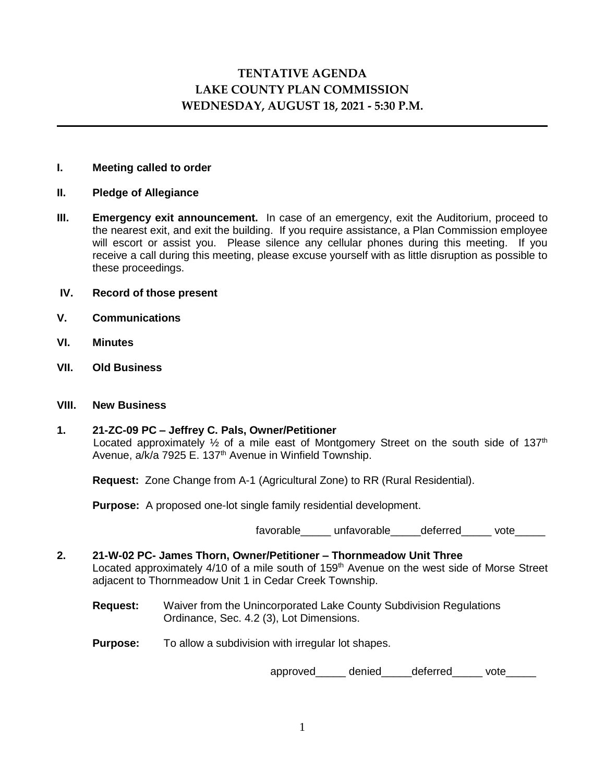# **TENTATIVE AGENDA LAKE COUNTY PLAN COMMISSION WEDNESDAY, AUGUST 18, 2021 - 5:30 P.M.**

#### **I. Meeting called to order**

- **II. Pledge of Allegiance**
- **III. Emergency exit announcement.** In case of an emergency, exit the Auditorium, proceed to the nearest exit, and exit the building. If you require assistance, a Plan Commission employee will escort or assist you. Please silence any cellular phones during this meeting. If you receive a call during this meeting, please excuse yourself with as little disruption as possible to these proceedings.
- **IV. Record of those present**
- **V. Communications**
- **VI. Minutes**
- **VII. Old Business**

#### **VIII. New Business**

#### **1. 21-ZC-09 PC – Jeffrey C. Pals, Owner/Petitioner** Located approximately  $\frac{1}{2}$  of a mile east of Montgomery Street on the south side of 137<sup>th</sup> Avenue, a/k/a 7925 E. 137<sup>th</sup> Avenue in Winfield Township.

**Request:** Zone Change from A-1 (Agricultural Zone) to RR (Rural Residential).

**Purpose:** A proposed one-lot single family residential development.

favorable unfavorable deferred vote

## **2. 21-W-02 PC- James Thorn, Owner/Petitioner – Thornmeadow Unit Three** Located approximately 4/10 of a mile south of 159<sup>th</sup> Avenue on the west side of Morse Street adjacent to Thornmeadow Unit 1 in Cedar Creek Township.

**Request:** Waiver from the Unincorporated Lake County Subdivision Regulations Ordinance, Sec. 4.2 (3), Lot Dimensions.

**Purpose:** To allow a subdivision with irregular lot shapes.

approved\_\_\_\_\_\_ denied\_\_\_\_\_deferred\_\_\_\_\_ vote\_\_\_\_\_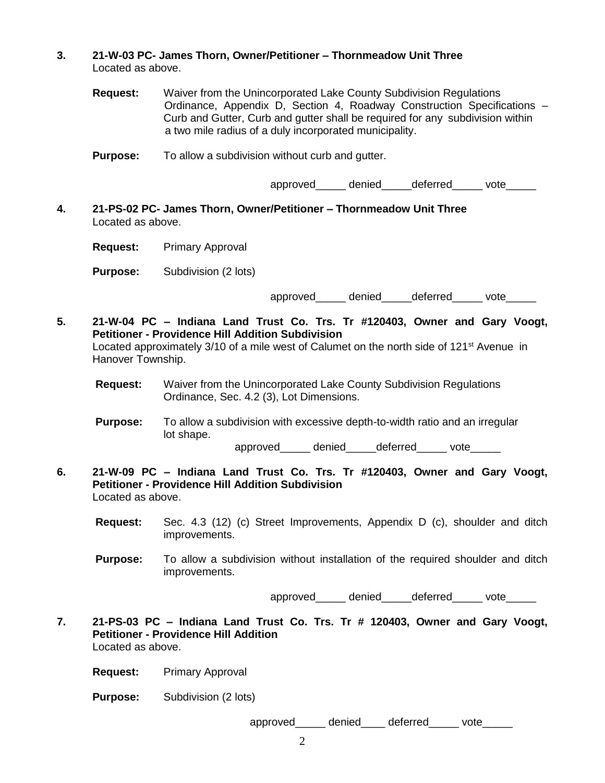- **3. 21-W-03 PC- James Thorn, Owner/Petitioner – Thornmeadow Unit Three** Located as above.
	- **Request:** Waiver from the Unincorporated Lake County Subdivision Regulations Ordinance, Appendix D, Section 4, Roadway Construction Specifications – Curb and Gutter, Curb and gutter shall be required for any subdivision within a two mile radius of a duly incorporated municipality.
	- **Purpose:** To allow a subdivision without curb and gutter.

approved denied deferred vote

**4. 21-PS-02 PC- James Thorn, Owner/Petitioner – Thornmeadow Unit Three** Located as above.

**Request:** Primary Approval

**Purpose:** Subdivision (2 lots)

approved denied deferred vote

- **5. 21-W-04 PC – Indiana Land Trust Co. Trs. Tr #120403, Owner and Gary Voogt, Petitioner - Providence Hill Addition Subdivision** Located approximately 3/10 of a mile west of Calumet on the north side of 121<sup>st</sup> Avenue in Hanover Township.
	- **Request:** Waiver from the Unincorporated Lake County Subdivision Regulations Ordinance, Sec. 4.2 (3), Lot Dimensions.
	- **Purpose:** To allow a subdivision with excessive depth-to-width ratio and an irregular lot shape.

approved\_\_\_\_\_\_ denied\_\_\_\_\_deferred vote

- **6. 21-W-09 PC – Indiana Land Trust Co. Trs. Tr #120403, Owner and Gary Voogt, Petitioner - Providence Hill Addition Subdivision** Located as above.
	- **Request:** Sec. 4.3 (12) (c) Street Improvements, Appendix D (c), shoulder and ditch improvements.
	- **Purpose:** To allow a subdivision without installation of the required shoulder and ditch improvements.

approved denied deferred vote

**7. 21-PS-03 PC – Indiana Land Trust Co. Trs. Tr # 120403, Owner and Gary Voogt, Petitioner - Providence Hill Addition**  Located as above.

**Request:** Primary Approval

**Purpose:** Subdivision (2 lots)

approved denied deferred vote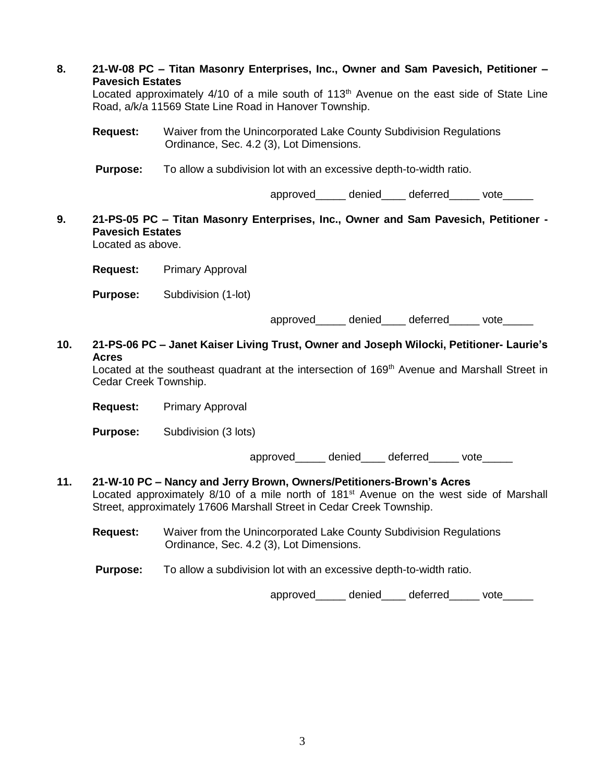| 8.  | 21-W-08 PC – Titan Masonry Enterprises, Inc., Owner and Sam Pavesich, Petitioner –<br><b>Pavesich Estates</b><br>Located approximately 4/10 of a mile south of 113 <sup>th</sup> Avenue on the east side of State Line<br>Road, a/k/a 11569 State Line Road in Hanover Township. |                                                                                                                |
|-----|----------------------------------------------------------------------------------------------------------------------------------------------------------------------------------------------------------------------------------------------------------------------------------|----------------------------------------------------------------------------------------------------------------|
|     | <b>Request:</b>                                                                                                                                                                                                                                                                  | Waiver from the Unincorporated Lake County Subdivision Regulations<br>Ordinance, Sec. 4.2 (3), Lot Dimensions. |
|     | <b>Purpose:</b>                                                                                                                                                                                                                                                                  | To allow a subdivision lot with an excessive depth-to-width ratio.                                             |
|     |                                                                                                                                                                                                                                                                                  | approved_____ denied____ deferred_____ vote_____                                                               |
| 9.  | <b>Pavesich Estates</b><br>Located as above.                                                                                                                                                                                                                                     | 21-PS-05 PC - Titan Masonry Enterprises, Inc., Owner and Sam Pavesich, Petitioner -                            |
|     |                                                                                                                                                                                                                                                                                  | <b>Request:</b> Primary Approval                                                                               |
|     | <b>Purpose:</b>                                                                                                                                                                                                                                                                  | Subdivision (1-lot)                                                                                            |
|     |                                                                                                                                                                                                                                                                                  | approved_____ denied____ deferred_____ vote_____                                                               |
| 10. | 21-PS-06 PC - Janet Kaiser Living Trust, Owner and Joseph Wilocki, Petitioner- Laurie's<br><b>Acres</b><br>Located at the southeast quadrant at the intersection of 169 <sup>th</sup> Avenue and Marshall Street in<br>Cedar Creek Township.                                     |                                                                                                                |
|     | <b>Request:</b>                                                                                                                                                                                                                                                                  | <b>Primary Approval</b>                                                                                        |
|     | <b>Purpose:</b>                                                                                                                                                                                                                                                                  | Subdivision (3 lots)                                                                                           |
|     |                                                                                                                                                                                                                                                                                  | approved denied deferred vote                                                                                  |
| 11. | 21-W-10 PC - Nancy and Jerry Brown, Owners/Petitioners-Brown's Acres<br>Located approximately 8/10 of a mile north of 181 <sup>st</sup> Avenue on the west side of Marshall<br>Street, approximately 17606 Marshall Street in Cedar Creek Township.                              |                                                                                                                |
|     | <b>Request:</b>                                                                                                                                                                                                                                                                  | Waiver from the Unincorporated Lake County Subdivision Regulations<br>Ordinance, Sec. 4.2 (3), Lot Dimensions. |
|     | <b>Purpose:</b>                                                                                                                                                                                                                                                                  | To allow a subdivision lot with an excessive depth-to-width ratio.                                             |
|     |                                                                                                                                                                                                                                                                                  | approved denied deferred vote                                                                                  |